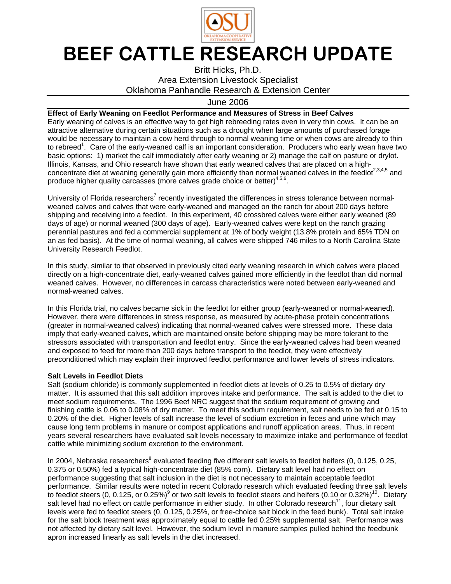

## BEEF CATTLE RESEARCH UPDATE

Britt Hicks, Ph.D. Area Extension Livestock Specialist Oklahoma Panhandle Research & Extension Center

## June 2006

## **Effect of Early Weaning on Feedlot Performance and Measures of Stress in Beef Calves**

Early weaning of calves is an effective way to get high rebreeding rates even in very thin cows. It can be an attractive alternative during certain situations such as a drought when large amounts of purchased forage would be necessary to maintain a cow herd through to normal weaning time or when cows are already to thin to rebreed<sup>1</sup>. Care of the early-weaned calf is an important consideration. Producers who early wean have two basic options: 1) market the calf immediately after early weaning or 2) manage the calf on pasture or drylot. Illinois, Kansas, and Ohio research have shown that early weaned calves that are placed on a highconcentrate diet at weaning generally gain more efficiently than normal weaned calves in the feedlot<sup>2,3,4,5</sup> and produce higher quality carcasses (more calves grade choice or better)<sup>4,5,6</sup>.

University of Florida researchers<sup>7</sup> recently investigated the differences in stress tolerance between normalweaned calves and calves that were early-weaned and managed on the ranch for about 200 days before shipping and receiving into a feedlot. In this experiment, 40 crossbred calves were either early weaned (89 days of age) or normal weaned (300 days of age). Early-weaned calves were kept on the ranch grazing perennial pastures and fed a commercial supplement at 1% of body weight (13.8% protein and 65% TDN on an as fed basis). At the time of normal weaning, all calves were shipped 746 miles to a North Carolina State University Research Feedlot.

In this study, similar to that observed in previously cited early weaning research in which calves were placed directly on a high-concentrate diet, early-weaned calves gained more efficiently in the feedlot than did normal weaned calves. However, no differences in carcass characteristics were noted between early-weaned and normal-weaned calves.

In this Florida trial, no calves became sick in the feedlot for either group (early-weaned or normal-weaned). However, there were differences in stress response, as measured by acute-phase protein concentrations (greater in normal-weaned calves) indicating that normal-weaned calves were stressed more. These data imply that early-weaned calves, which are maintained onsite before shipping may be more tolerant to the stressors associated with transportation and feedlot entry. Since the early-weaned calves had been weaned and exposed to feed for more than 200 days before transport to the feedlot, they were effectively preconditioned which may explain their improved feedlot performance and lower levels of stress indicators.

## **Salt Levels in Feedlot Diets**

Salt (sodium chloride) is commonly supplemented in feedlot diets at levels of 0.25 to 0.5% of dietary dry matter. It is assumed that this salt addition improves intake and performance. The salt is added to the diet to meet sodium requirements. The 1996 Beef NRC suggest that the sodium requirement of growing and finishing cattle is 0.06 to 0.08% of dry matter. To meet this sodium requirement, salt needs to be fed at 0.15 to 0.20% of the diet. Higher levels of salt increase the level of sodium excretion in feces and urine which may cause long term problems in manure or compost applications and runoff application areas. Thus, in recent years several researchers have evaluated salt levels necessary to maximize intake and performance of feedlot cattle while minimizing sodium excretion to the environment.

In 2004, Nebraska researchers<sup>8</sup> evaluated feeding five different salt levels to feedlot heifers (0, 0.125, 0.25, 0.375 or 0.50%) fed a typical high-concentrate diet (85% corn). Dietary salt level had no effect on performance suggesting that salt inclusion in the diet is not necessary to maintain acceptable feedlot performance. Similar results were noted in recent Colorado research which evaluated feeding three salt levels to feedlot steers (0, 0.125, or 0.25%)<sup>9</sup> or two salt levels to feedlot steers and heifers (0.10 or 0.32%)<sup>10</sup>. Dietary salt level had no effect on cattle performance in either study. In other Colorado research<sup>11</sup>, four dietary salt levels were fed to feedlot steers (0, 0.125, 0.25%, or free-choice salt block in the feed bunk). Total salt intake for the salt block treatment was approximately equal to cattle fed 0.25% supplemental salt. Performance was not affected by dietary salt level. However, the sodium level in manure samples pulled behind the feedbunk apron increased linearly as salt levels in the diet increased.